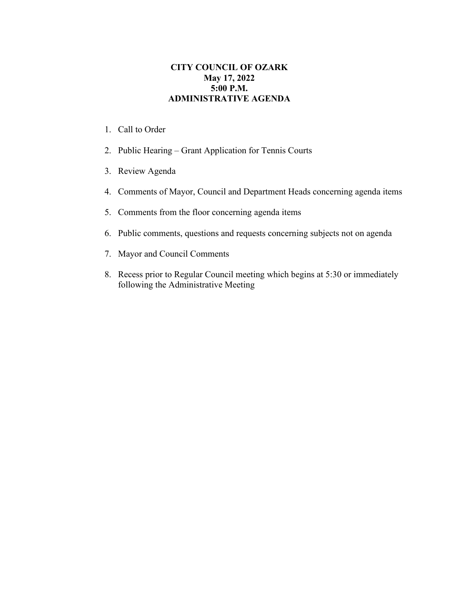## **CITY COUNCIL OF OZARK May 17, 2022 5:00 P.M. ADMINISTRATIVE AGENDA**

- 1. Call to Order
- 2. Public Hearing Grant Application for Tennis Courts
- 3. Review Agenda
- 4. Comments of Mayor, Council and Department Heads concerning agenda items
- 5. Comments from the floor concerning agenda items
- 6. Public comments, questions and requests concerning subjects not on agenda
- 7. Mayor and Council Comments
- 8. Recess prior to Regular Council meeting which begins at 5:30 or immediately following the Administrative Meeting